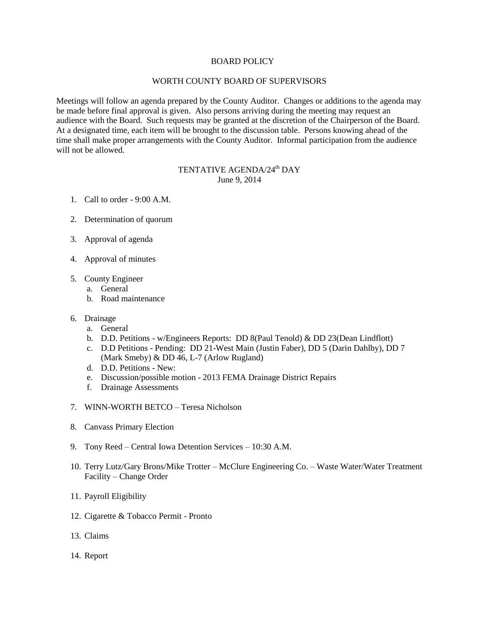## BOARD POLICY

## WORTH COUNTY BOARD OF SUPERVISORS

Meetings will follow an agenda prepared by the County Auditor. Changes or additions to the agenda may be made before final approval is given. Also persons arriving during the meeting may request an audience with the Board. Such requests may be granted at the discretion of the Chairperson of the Board. At a designated time, each item will be brought to the discussion table. Persons knowing ahead of the time shall make proper arrangements with the County Auditor. Informal participation from the audience will not be allowed.

## TENTATIVE AGENDA/24<sup>th</sup> DAY June 9, 2014

- 1. Call to order 9:00 A.M.
- 2. Determination of quorum
- 3. Approval of agenda
- 4. Approval of minutes
- 5. County Engineer
	- a. General
	- b. Road maintenance
- 6. Drainage
	- a. General
	- b. D.D. Petitions w/Engineers Reports: DD 8(Paul Tenold) & DD 23(Dean Lindflott)
	- c. D.D Petitions Pending: DD 21-West Main (Justin Faber), DD 5 (Darin Dahlby), DD 7 (Mark Smeby) & DD 46, L-7 (Arlow Rugland)
	- d. D.D. Petitions New:
	- e. Discussion/possible motion 2013 FEMA Drainage District Repairs
	- f. Drainage Assessments
- 7. WINN-WORTH BETCO Teresa Nicholson
- 8. Canvass Primary Election
- 9. Tony Reed Central Iowa Detention Services 10:30 A.M.
- 10. Terry Lutz/Gary Brons/Mike Trotter McClure Engineering Co. Waste Water/Water Treatment Facility – Change Order
- 11. Payroll Eligibility
- 12. Cigarette & Tobacco Permit Pronto
- 13. Claims
- 14. Report